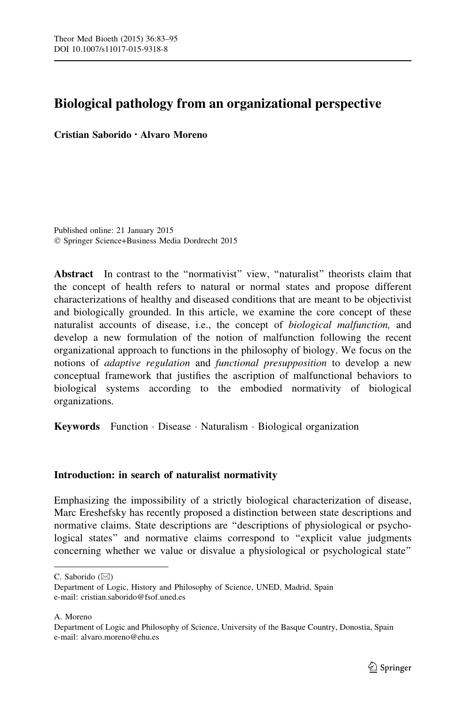# Biological pathology from an organizational perspective

Cristian Saborido • Alvaro Moreno

Published online: 21 January 2015 - Springer Science+Business Media Dordrecht 2015

Abstract In contrast to the ''normativist'' view, ''naturalist'' theorists claim that the concept of health refers to natural or normal states and propose different characterizations of healthy and diseased conditions that are meant to be objectivist and biologically grounded. In this article, we examine the core concept of these naturalist accounts of disease, i.e., the concept of biological malfunction, and develop a new formulation of the notion of malfunction following the recent organizational approach to functions in the philosophy of biology. We focus on the notions of adaptive regulation and functional presupposition to develop a new conceptual framework that justifies the ascription of malfunctional behaviors to biological systems according to the embodied normativity of biological organizations.

Keywords Function Disease Naturalism Biological organization

# Introduction: in search of naturalist normativity

Emphasizing the impossibility of a strictly biological characterization of disease, Marc Ereshefsky has recently proposed a distinction between state descriptions and normative claims. State descriptions are ''descriptions of physiological or psychological states'' and normative claims correspond to ''explicit value judgments concerning whether we value or disvalue a physiological or psychological state''

C. Saborido  $(\boxtimes)$ 

A. Moreno

Department of Logic, History and Philosophy of Science, UNED, Madrid, Spain e-mail: cristian.saborido@fsof.uned.es

Department of Logic and Philosophy of Science, University of the Basque Country, Donostia, Spain e-mail: alvaro.moreno@ehu.es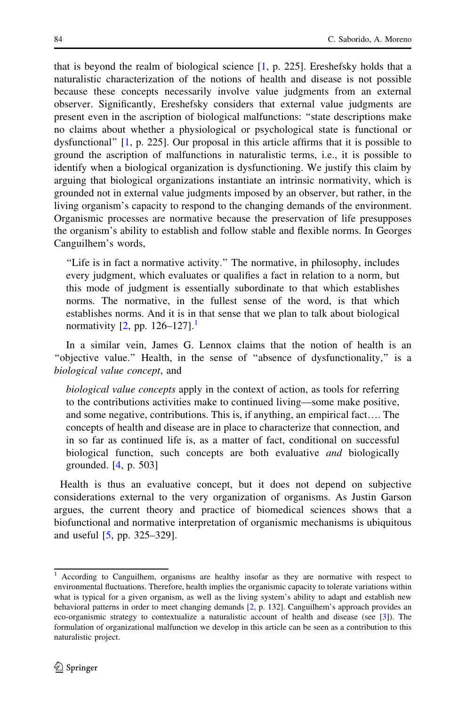that is beyond the realm of biological science  $[1, p. 225]$  $[1, p. 225]$ . Ereshefsky holds that a naturalistic characterization of the notions of health and disease is not possible because these concepts necessarily involve value judgments from an external observer. Significantly, Ereshefsky considers that external value judgments are present even in the ascription of biological malfunctions: ''state descriptions make no claims about whether a physiological or psychological state is functional or dysfunctional'' [[1,](#page-11-0) p. 225]. Our proposal in this article affirms that it is possible to ground the ascription of malfunctions in naturalistic terms, i.e., it is possible to identify when a biological organization is dysfunctioning. We justify this claim by arguing that biological organizations instantiate an intrinsic normativity, which is grounded not in external value judgments imposed by an observer, but rather, in the living organism's capacity to respond to the changing demands of the environment. Organismic processes are normative because the preservation of life presupposes the organism's ability to establish and follow stable and flexible norms. In Georges Canguilhem's words,

"Life is in fact a normative activity." The normative, in philosophy, includes every judgment, which evaluates or qualifies a fact in relation to a norm, but this mode of judgment is essentially subordinate to that which establishes norms. The normative, in the fullest sense of the word, is that which establishes norms. And it is in that sense that we plan to talk about biological normativity  $[2, pp. 126-127]$  $[2, pp. 126-127]$  $[2, pp. 126-127]$ .

In a similar vein, James G. Lennox claims that the notion of health is an "objective value." Health, in the sense of "absence of dysfunctionality," is a biological value concept, and

biological value concepts apply in the context of action, as tools for referring to the contributions activities make to continued living—some make positive, and some negative, contributions. This is, if anything, an empirical fact…. The concepts of health and disease are in place to characterize that connection, and in so far as continued life is, as a matter of fact, conditional on successful biological function, such concepts are both evaluative *and* biologically grounded. [\[4](#page-11-0), p. 503]

Health is thus an evaluative concept, but it does not depend on subjective considerations external to the very organization of organisms. As Justin Garson argues, the current theory and practice of biomedical sciences shows that a biofunctional and normative interpretation of organismic mechanisms is ubiquitous and useful [[5,](#page-11-0) pp. 325–329].

<sup>&</sup>lt;sup>1</sup> According to Canguilhem, organisms are healthy insofar as they are normative with respect to environmental fluctuations. Therefore, health implies the organismic capacity to tolerate variations within what is typical for a given organism, as well as the living system's ability to adapt and establish new behavioral patterns in order to meet changing demands [[2,](#page-11-0) p. 132]. Canguilhem's approach provides an eco-organismic strategy to contextualize a naturalistic account of health and disease (see [[3\]](#page-11-0)). The formulation of organizational malfunction we develop in this article can be seen as a contribution to this naturalistic project.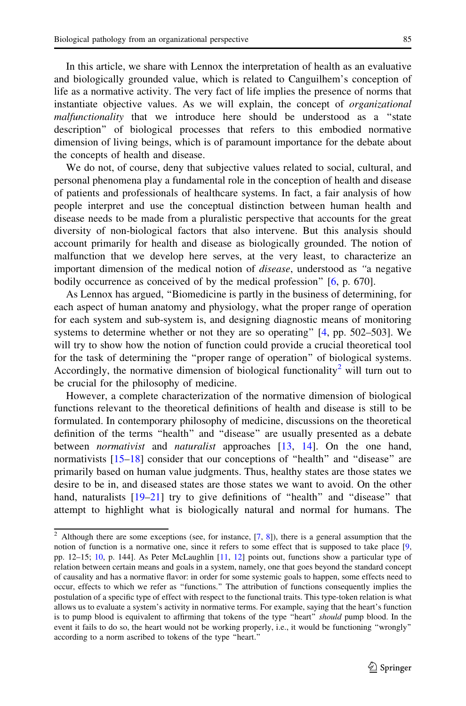In this article, we share with Lennox the interpretation of health as an evaluative and biologically grounded value, which is related to Canguilhem's conception of life as a normative activity. The very fact of life implies the presence of norms that instantiate objective values. As we will explain, the concept of organizational malfunctionality that we introduce here should be understood as a "state description'' of biological processes that refers to this embodied normative dimension of living beings, which is of paramount importance for the debate about the concepts of health and disease.

We do not, of course, deny that subjective values related to social, cultural, and personal phenomena play a fundamental role in the conception of health and disease of patients and professionals of healthcare systems. In fact, a fair analysis of how people interpret and use the conceptual distinction between human health and disease needs to be made from a pluralistic perspective that accounts for the great diversity of non-biological factors that also intervene. But this analysis should account primarily for health and disease as biologically grounded. The notion of malfunction that we develop here serves, at the very least, to characterize an important dimension of the medical notion of disease, understood as ''a negative bodily occurrence as conceived of by the medical profession" [\[6](#page-11-0), p. 670].

As Lennox has argued, ''Biomedicine is partly in the business of determining, for each aspect of human anatomy and physiology, what the proper range of operation for each system and sub-system is, and designing diagnostic means of monitoring systems to determine whether or not they are so operating'' [\[4](#page-11-0), pp. 502–503]. We will try to show how the notion of function could provide a crucial theoretical tool for the task of determining the ''proper range of operation'' of biological systems. Accordingly, the normative dimension of biological functionality<sup>2</sup> will turn out to be crucial for the philosophy of medicine.

However, a complete characterization of the normative dimension of biological functions relevant to the theoretical definitions of health and disease is still to be formulated. In contemporary philosophy of medicine, discussions on the theoretical definition of the terms ''health'' and ''disease'' are usually presented as a debate between *normativist* and *naturalist* approaches [\[13](#page-12-0), [14\]](#page-12-0). On the one hand, normativists [\[15–18](#page-12-0)] consider that our conceptions of "health" and "disease" are primarily based on human value judgments. Thus, healthy states are those states we desire to be in, and diseased states are those states we want to avoid. On the other hand, naturalists [[19–21\]](#page-12-0) try to give definitions of "health" and "disease" that attempt to highlight what is biologically natural and normal for humans. The

<sup>&</sup>lt;sup>2</sup> Although there are some exceptions (see, for instance,  $[7, 8]$  $[7, 8]$  $[7, 8]$ ), there is a general assumption that the notion of function is a normative one, since it refers to some effect that is supposed to take place [\[9](#page-11-0), pp. 12–15; [10](#page-11-0), p. 144]. As Peter McLaughlin [\[11](#page-11-0), [12](#page-11-0)] points out, functions show a particular type of relation between certain means and goals in a system, namely, one that goes beyond the standard concept of causality and has a normative flavor: in order for some systemic goals to happen, some effects need to occur, effects to which we refer as ''functions.'' The attribution of functions consequently implies the postulation of a specific type of effect with respect to the functional traits. This type-token relation is what allows us to evaluate a system's activity in normative terms. For example, saying that the heart's function is to pump blood is equivalent to affirming that tokens of the type "heart" should pump blood. In the event it fails to do so, the heart would not be working properly, i.e., it would be functioning ''wrongly'' according to a norm ascribed to tokens of the type ''heart.''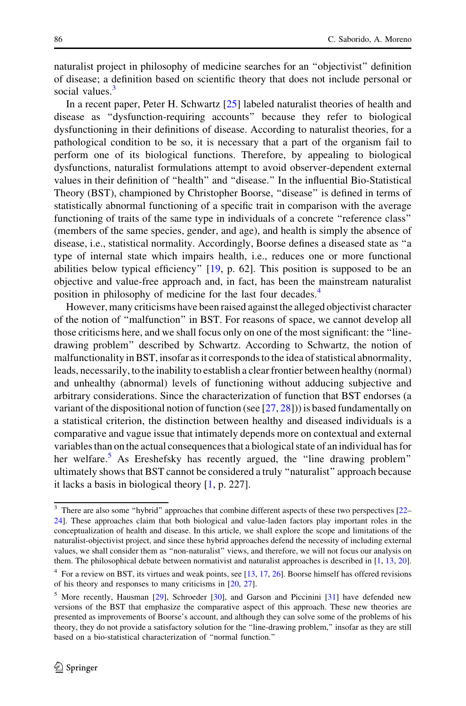naturalist project in philosophy of medicine searches for an ''objectivist'' definition of disease; a definition based on scientific theory that does not include personal or social values.<sup>3</sup>

In a recent paper, Peter H. Schwartz [[25\]](#page-12-0) labeled naturalist theories of health and disease as ''dysfunction-requiring accounts'' because they refer to biological dysfunctioning in their definitions of disease. According to naturalist theories, for a pathological condition to be so, it is necessary that a part of the organism fail to perform one of its biological functions. Therefore, by appealing to biological dysfunctions, naturalist formulations attempt to avoid observer-dependent external values in their definition of ''health'' and ''disease.'' In the influential Bio-Statistical Theory (BST), championed by Christopher Boorse, ''disease'' is defined in terms of statistically abnormal functioning of a specific trait in comparison with the average functioning of traits of the same type in individuals of a concrete ''reference class'' (members of the same species, gender, and age), and health is simply the absence of disease, i.e., statistical normality. Accordingly, Boorse defines a diseased state as ''a type of internal state which impairs health, i.e., reduces one or more functional abilities below typical efficiency'' [\[19](#page-12-0), p. 62]. This position is supposed to be an objective and value-free approach and, in fact, has been the mainstream naturalist position in philosophy of medicine for the last four decades.<sup>4</sup>

However, many criticisms have been raised against the alleged objectivist character of the notion of ''malfunction'' in BST. For reasons of space, we cannot develop all those criticisms here, and we shall focus only on one of the most significant: the ''linedrawing problem'' described by Schwartz. According to Schwartz, the notion of malfunctionality in BST, insofar as it corresponds to the idea of statistical abnormality, leads, necessarily, to the inability to establish a clear frontier between healthy (normal) and unhealthy (abnormal) levels of functioning without adducing subjective and arbitrary considerations. Since the characterization of function that BST endorses (a variant of the dispositional notion of function (see  $[27, 28]$  $[27, 28]$  $[27, 28]$ )) is based fundamentally on a statistical criterion, the distinction between healthy and diseased individuals is a comparative and vague issue that intimately depends more on contextual and external variables than on the actual consequences that a biological state of an individual has for her welfare.<sup>5</sup> As Ereshefsky has recently argued, the "line drawing problem" ultimately shows that BST cannot be considered a truly ''naturalist'' approach because it lacks a basis in biological theory [[1,](#page-11-0) p. 227].

<sup>&</sup>lt;sup>3</sup> There are also some "hybrid" approaches that combine different aspects of these two perspectives [\[22](#page-12-0)– [24\]](#page-12-0). These approaches claim that both biological and value-laden factors play important roles in the conceptualization of health and disease. In this article, we shall explore the scope and limitations of the naturalist-objectivist project, and since these hybrid approaches defend the necessity of including external values, we shall consider them as ''non-naturalist'' views, and therefore, we will not focus our analysis on them. The philosophical debate between normativist and naturalist approaches is described in [[1,](#page-11-0) [13,](#page-12-0) [20\]](#page-12-0).

 $4$  For a review on BST, its virtues and weak points, see [[13,](#page-12-0) [17,](#page-12-0) [26\]](#page-12-0). Boorse himself has offered revisions of his theory and responses to many criticisms in [\[20](#page-12-0), [27\]](#page-12-0).

 $<sup>5</sup>$  More recently, Hausman [[29\]](#page-12-0), Schroeder [\[30](#page-12-0)], and Garson and Piccinini [\[31](#page-12-0)] have defended new</sup> versions of the BST that emphasize the comparative aspect of this approach. These new theories are presented as improvements of Boorse's account, and although they can solve some of the problems of his theory, they do not provide a satisfactory solution for the ''line-drawing problem,'' insofar as they are still based on a bio-statistical characterization of ''normal function.''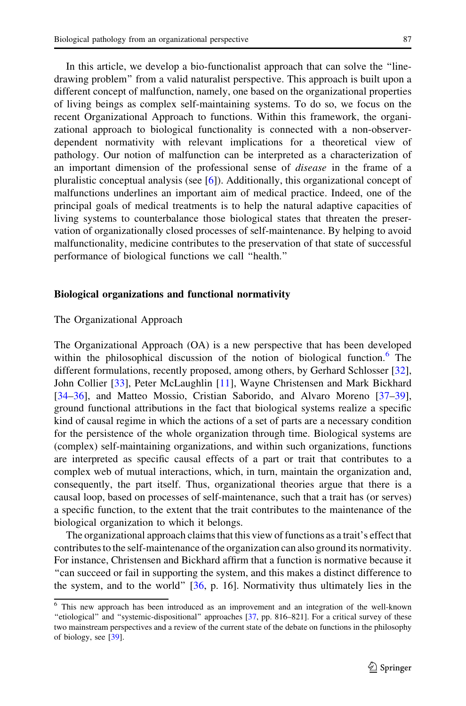In this article, we develop a bio-functionalist approach that can solve the ''linedrawing problem'' from a valid naturalist perspective. This approach is built upon a different concept of malfunction, namely, one based on the organizational properties of living beings as complex self-maintaining systems. To do so, we focus on the recent Organizational Approach to functions. Within this framework, the organizational approach to biological functionality is connected with a non-observerdependent normativity with relevant implications for a theoretical view of pathology. Our notion of malfunction can be interpreted as a characterization of an important dimension of the professional sense of disease in the frame of a pluralistic conceptual analysis (see [[6\]](#page-11-0)). Additionally, this organizational concept of malfunctions underlines an important aim of medical practice. Indeed, one of the principal goals of medical treatments is to help the natural adaptive capacities of living systems to counterbalance those biological states that threaten the preservation of organizationally closed processes of self-maintenance. By helping to avoid malfunctionality, medicine contributes to the preservation of that state of successful performance of biological functions we call ''health.''

## Biological organizations and functional normativity

## The Organizational Approach

The Organizational Approach (OA) is a new perspective that has been developed within the philosophical discussion of the notion of biological function.<sup>6</sup> The different formulations, recently proposed, among others, by Gerhard Schlosser [[32\]](#page-12-0), John Collier [[33\]](#page-12-0), Peter McLaughlin [\[11](#page-11-0)], Wayne Christensen and Mark Bickhard [\[34–36](#page-12-0)], and Matteo Mossio, Cristian Saborido, and Alvaro Moreno [[37–39\]](#page-12-0), ground functional attributions in the fact that biological systems realize a specific kind of causal regime in which the actions of a set of parts are a necessary condition for the persistence of the whole organization through time. Biological systems are (complex) self-maintaining organizations, and within such organizations, functions are interpreted as specific causal effects of a part or trait that contributes to a complex web of mutual interactions, which, in turn, maintain the organization and, consequently, the part itself. Thus, organizational theories argue that there is a causal loop, based on processes of self-maintenance, such that a trait has (or serves) a specific function, to the extent that the trait contributes to the maintenance of the biological organization to which it belongs.

The organizational approach claims that this view of functions as a trait's effect that contributes to the self-maintenance of the organization can also ground its normativity. For instance, Christensen and Bickhard affirm that a function is normative because it ''can succeed or fail in supporting the system, and this makes a distinct difference to the system, and to the world'' [\[36](#page-12-0), p. 16]. Normativity thus ultimately lies in the

<sup>6</sup> This new approach has been introduced as an improvement and an integration of the well-known ''etiological'' and ''systemic-dispositional'' approaches [\[37](#page-12-0), pp. 816–821]. For a critical survey of these two mainstream perspectives and a review of the current state of the debate on functions in the philosophy of biology, see [[39\]](#page-12-0).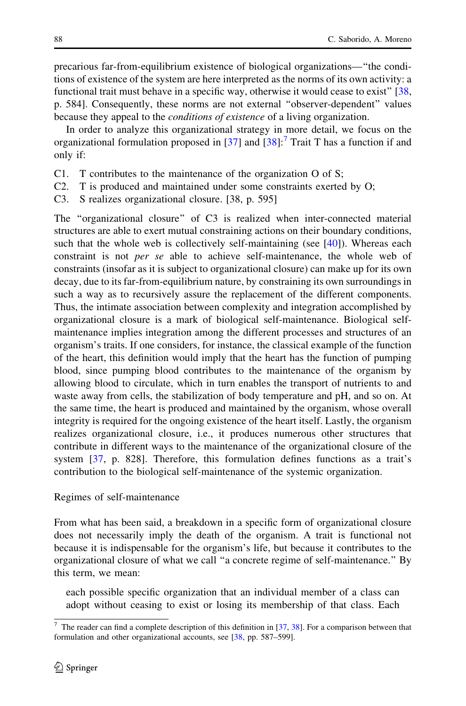precarious far-from-equilibrium existence of biological organizations—''the conditions of existence of the system are here interpreted as the norms of its own activity: a functional trait must behave in a specific way, otherwise it would cease to exist'' [[38,](#page-12-0) p. 584]. Consequently, these norms are not external ''observer-dependent'' values because they appeal to the *conditions of existence* of a living organization.

In order to analyze this organizational strategy in more detail, we focus on the organizational formulation proposed in [[37\]](#page-12-0) and  $\left[38\right]$  $\left[38\right]$  $\left[38\right]$ :<sup>7</sup> Trait T has a function if and only if:

- C1. T contributes to the maintenance of the organization O of S;
- C2. T is produced and maintained under some constraints exerted by O;
- C3. S realizes organizational closure. [38, p. 595]

The "organizational closure" of C3 is realized when inter-connected material structures are able to exert mutual constraining actions on their boundary conditions, such that the whole web is collectively self-maintaining (see [[40\]](#page-12-0)). Whereas each constraint is not per se able to achieve self-maintenance, the whole web of constraints (insofar as it is subject to organizational closure) can make up for its own decay, due to its far-from-equilibrium nature, by constraining its own surroundings in such a way as to recursively assure the replacement of the different components. Thus, the intimate association between complexity and integration accomplished by organizational closure is a mark of biological self-maintenance. Biological selfmaintenance implies integration among the different processes and structures of an organism's traits. If one considers, for instance, the classical example of the function of the heart, this definition would imply that the heart has the function of pumping blood, since pumping blood contributes to the maintenance of the organism by allowing blood to circulate, which in turn enables the transport of nutrients to and waste away from cells, the stabilization of body temperature and pH, and so on. At the same time, the heart is produced and maintained by the organism, whose overall integrity is required for the ongoing existence of the heart itself. Lastly, the organism realizes organizational closure, i.e., it produces numerous other structures that contribute in different ways to the maintenance of the organizational closure of the system [[37,](#page-12-0) p. 828]. Therefore, this formulation defines functions as a trait's contribution to the biological self-maintenance of the systemic organization.

## Regimes of self-maintenance

From what has been said, a breakdown in a specific form of organizational closure does not necessarily imply the death of the organism. A trait is functional not because it is indispensable for the organism's life, but because it contributes to the organizational closure of what we call ''a concrete regime of self-maintenance.'' By this term, we mean:

each possible specific organization that an individual member of a class can adopt without ceasing to exist or losing its membership of that class. Each

 $\frac{1}{7}$  The reader can find a complete description of this definition in [[37,](#page-12-0) [38\]](#page-12-0). For a comparison between that formulation and other organizational accounts, see [[38,](#page-12-0) pp. 587–599].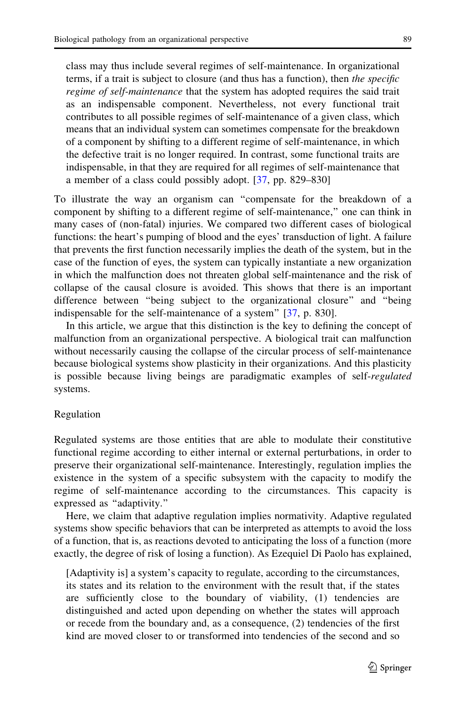class may thus include several regimes of self-maintenance. In organizational terms, if a trait is subject to closure (and thus has a function), then the specific regime of self-maintenance that the system has adopted requires the said trait as an indispensable component. Nevertheless, not every functional trait contributes to all possible regimes of self-maintenance of a given class, which means that an individual system can sometimes compensate for the breakdown of a component by shifting to a different regime of self-maintenance, in which the defective trait is no longer required. In contrast, some functional traits are indispensable, in that they are required for all regimes of self-maintenance that a member of a class could possibly adopt. [\[37](#page-12-0), pp. 829–830]

To illustrate the way an organism can ''compensate for the breakdown of a component by shifting to a different regime of self-maintenance,'' one can think in many cases of (non-fatal) injuries. We compared two different cases of biological functions: the heart's pumping of blood and the eyes' transduction of light. A failure that prevents the first function necessarily implies the death of the system, but in the case of the function of eyes, the system can typically instantiate a new organization in which the malfunction does not threaten global self-maintenance and the risk of collapse of the causal closure is avoided. This shows that there is an important difference between ''being subject to the organizational closure'' and ''being indispensable for the self-maintenance of a system'' [[37,](#page-12-0) p. 830].

In this article, we argue that this distinction is the key to defining the concept of malfunction from an organizational perspective. A biological trait can malfunction without necessarily causing the collapse of the circular process of self-maintenance because biological systems show plasticity in their organizations. And this plasticity is possible because living beings are paradigmatic examples of self-regulated systems.

## Regulation

Regulated systems are those entities that are able to modulate their constitutive functional regime according to either internal or external perturbations, in order to preserve their organizational self-maintenance. Interestingly, regulation implies the existence in the system of a specific subsystem with the capacity to modify the regime of self-maintenance according to the circumstances. This capacity is expressed as ''adaptivity.''

Here, we claim that adaptive regulation implies normativity. Adaptive regulated systems show specific behaviors that can be interpreted as attempts to avoid the loss of a function, that is, as reactions devoted to anticipating the loss of a function (more exactly, the degree of risk of losing a function). As Ezequiel Di Paolo has explained,

[Adaptivity is] a system's capacity to regulate, according to the circumstances, its states and its relation to the environment with the result that, if the states are sufficiently close to the boundary of viability, (1) tendencies are distinguished and acted upon depending on whether the states will approach or recede from the boundary and, as a consequence, (2) tendencies of the first kind are moved closer to or transformed into tendencies of the second and so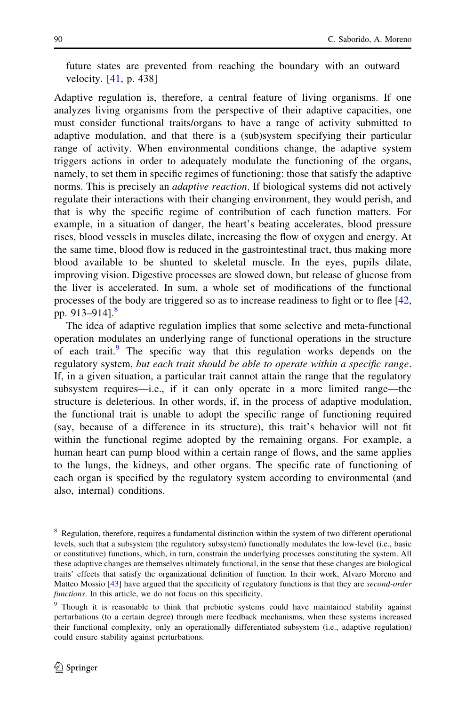future states are prevented from reaching the boundary with an outward velocity. [[41,](#page-12-0) p. 438]

Adaptive regulation is, therefore, a central feature of living organisms. If one analyzes living organisms from the perspective of their adaptive capacities, one must consider functional traits/organs to have a range of activity submitted to adaptive modulation, and that there is a (sub)system specifying their particular range of activity. When environmental conditions change, the adaptive system triggers actions in order to adequately modulate the functioning of the organs, namely, to set them in specific regimes of functioning: those that satisfy the adaptive norms. This is precisely an *adaptive reaction*. If biological systems did not actively regulate their interactions with their changing environment, they would perish, and that is why the specific regime of contribution of each function matters. For example, in a situation of danger, the heart's beating accelerates, blood pressure rises, blood vessels in muscles dilate, increasing the flow of oxygen and energy. At the same time, blood flow is reduced in the gastrointestinal tract, thus making more blood available to be shunted to skeletal muscle. In the eyes, pupils dilate, improving vision. Digestive processes are slowed down, but release of glucose from the liver is accelerated. In sum, a whole set of modifications of the functional processes of the body are triggered so as to increase readiness to fight or to flee [[42,](#page-12-0) pp. 913–914]. $8$ 

The idea of adaptive regulation implies that some selective and meta-functional operation modulates an underlying range of functional operations in the structure of each trait.<sup>9</sup> The specific way that this regulation works depends on the regulatory system, but each trait should be able to operate within a specific range. If, in a given situation, a particular trait cannot attain the range that the regulatory subsystem requires—i.e., if it can only operate in a more limited range—the structure is deleterious. In other words, if, in the process of adaptive modulation, the functional trait is unable to adopt the specific range of functioning required (say, because of a difference in its structure), this trait's behavior will not fit within the functional regime adopted by the remaining organs. For example, a human heart can pump blood within a certain range of flows, and the same applies to the lungs, the kidneys, and other organs. The specific rate of functioning of each organ is specified by the regulatory system according to environmental (and also, internal) conditions.

<sup>&</sup>lt;sup>8</sup> Regulation, therefore, requires a fundamental distinction within the system of two different operational levels, such that a subsystem (the regulatory subsystem) functionally modulates the low-level (i.e., basic or constitutive) functions, which, in turn, constrain the underlying processes constituting the system. All these adaptive changes are themselves ultimately functional, in the sense that these changes are biological traits' effects that satisfy the organizational definition of function. In their work, Alvaro Moreno and Matteo Mossio [\[43](#page-12-0)] have argued that the specificity of regulatory functions is that they are *second-order* functions. In this article, we do not focus on this specificity.

<sup>&</sup>lt;sup>9</sup> Though it is reasonable to think that prebiotic systems could have maintained stability against perturbations (to a certain degree) through mere feedback mechanisms, when these systems increased their functional complexity, only an operationally differentiated subsystem (i.e., adaptive regulation) could ensure stability against perturbations.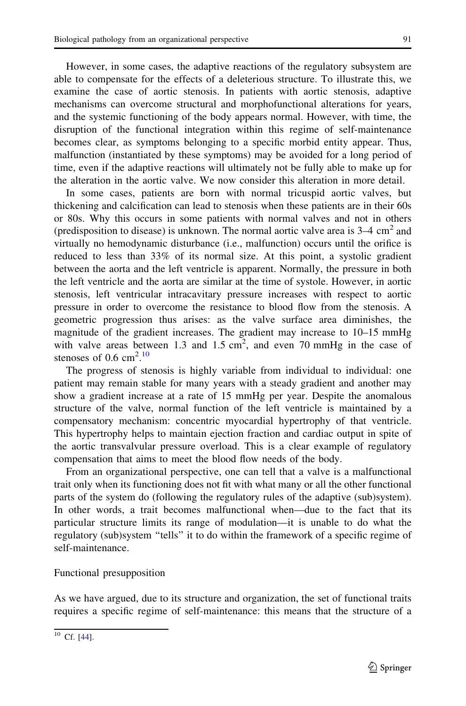However, in some cases, the adaptive reactions of the regulatory subsystem are able to compensate for the effects of a deleterious structure. To illustrate this, we examine the case of aortic stenosis. In patients with aortic stenosis, adaptive mechanisms can overcome structural and morphofunctional alterations for years, and the systemic functioning of the body appears normal. However, with time, the disruption of the functional integration within this regime of self-maintenance becomes clear, as symptoms belonging to a specific morbid entity appear. Thus, malfunction (instantiated by these symptoms) may be avoided for a long period of time, even if the adaptive reactions will ultimately not be fully able to make up for the alteration in the aortic valve. We now consider this alteration in more detail.

In some cases, patients are born with normal tricuspid aortic valves, but thickening and calcification can lead to stenosis when these patients are in their 60s or 80s. Why this occurs in some patients with normal valves and not in others (predisposition to disease) is unknown. The normal aortic valve area is  $3-4$  cm<sup>2</sup> and virtually no hemodynamic disturbance (i.e., malfunction) occurs until the orifice is reduced to less than 33% of its normal size. At this point, a systolic gradient between the aorta and the left ventricle is apparent. Normally, the pressure in both the left ventricle and the aorta are similar at the time of systole. However, in aortic stenosis, left ventricular intracavitary pressure increases with respect to aortic pressure in order to overcome the resistance to blood flow from the stenosis. A geometric progression thus arises: as the valve surface area diminishes, the magnitude of the gradient increases. The gradient may increase to 10–15 mmHg with valve areas between 1.3 and 1.5 cm<sup>2</sup>, and even 70 mmHg in the case of stenoses of  $0.6 \text{ cm}^2$ .<sup>10</sup>

The progress of stenosis is highly variable from individual to individual: one patient may remain stable for many years with a steady gradient and another may show a gradient increase at a rate of 15 mmHg per year. Despite the anomalous structure of the valve, normal function of the left ventricle is maintained by a compensatory mechanism: concentric myocardial hypertrophy of that ventricle. This hypertrophy helps to maintain ejection fraction and cardiac output in spite of the aortic transvalvular pressure overload. This is a clear example of regulatory compensation that aims to meet the blood flow needs of the body.

From an organizational perspective, one can tell that a valve is a malfunctional trait only when its functioning does not fit with what many or all the other functional parts of the system do (following the regulatory rules of the adaptive (sub)system). In other words, a trait becomes malfunctional when—due to the fact that its particular structure limits its range of modulation—it is unable to do what the regulatory (sub)system ''tells'' it to do within the framework of a specific regime of self-maintenance.

# Functional presupposition

As we have argued, due to its structure and organization, the set of functional traits requires a specific regime of self-maintenance: this means that the structure of a

 $10$  Cf. [\[44](#page-12-0)].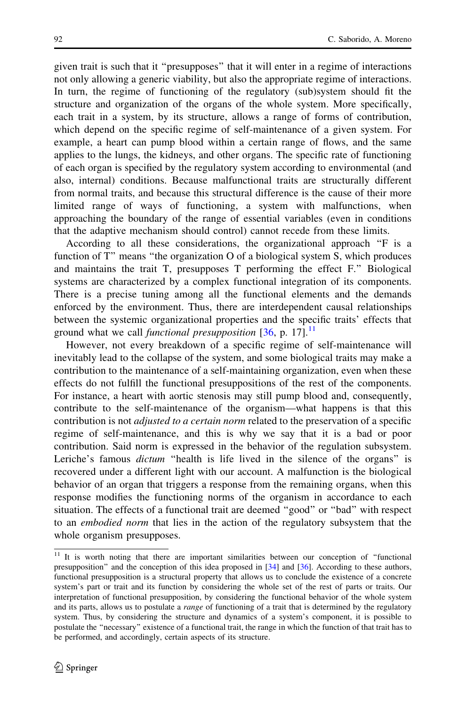given trait is such that it ''presupposes'' that it will enter in a regime of interactions not only allowing a generic viability, but also the appropriate regime of interactions. In turn, the regime of functioning of the regulatory (sub)system should fit the structure and organization of the organs of the whole system. More specifically, each trait in a system, by its structure, allows a range of forms of contribution, which depend on the specific regime of self-maintenance of a given system. For example, a heart can pump blood within a certain range of flows, and the same applies to the lungs, the kidneys, and other organs. The specific rate of functioning of each organ is specified by the regulatory system according to environmental (and also, internal) conditions. Because malfunctional traits are structurally different from normal traits, and because this structural difference is the cause of their more limited range of ways of functioning, a system with malfunctions, when approaching the boundary of the range of essential variables (even in conditions that the adaptive mechanism should control) cannot recede from these limits.

According to all these considerations, the organizational approach ''F is a function of T'' means ''the organization O of a biological system S, which produces and maintains the trait T, presupposes T performing the effect F.'' Biological systems are characterized by a complex functional integration of its components. There is a precise tuning among all the functional elements and the demands enforced by the environment. Thus, there are interdependent causal relationships between the systemic organizational properties and the specific traits' effects that ground what we call *functional presupposition*  $[36, p. 17]$  $[36, p. 17]$ .<sup>11</sup>

However, not every breakdown of a specific regime of self-maintenance will inevitably lead to the collapse of the system, and some biological traits may make a contribution to the maintenance of a self-maintaining organization, even when these effects do not fulfill the functional presuppositions of the rest of the components. For instance, a heart with aortic stenosis may still pump blood and, consequently, contribute to the self-maintenance of the organism—what happens is that this contribution is not *adjusted to a certain norm* related to the preservation of a specific regime of self-maintenance, and this is why we say that it is a bad or poor contribution. Said norm is expressed in the behavior of the regulation subsystem. Leriche's famous *dictum* "health is life lived in the silence of the organs" is recovered under a different light with our account. A malfunction is the biological behavior of an organ that triggers a response from the remaining organs, when this response modifies the functioning norms of the organism in accordance to each situation. The effects of a functional trait are deemed ''good'' or ''bad'' with respect to an embodied norm that lies in the action of the regulatory subsystem that the whole organism presupposes.

<sup>&</sup>lt;sup>11</sup> It is worth noting that there are important similarities between our conception of "functional presupposition'' and the conception of this idea proposed in [[34\]](#page-12-0) and [\[36](#page-12-0)]. According to these authors, functional presupposition is a structural property that allows us to conclude the existence of a concrete system's part or trait and its function by considering the whole set of the rest of parts or traits. Our interpretation of functional presupposition, by considering the functional behavior of the whole system and its parts, allows us to postulate a *range* of functioning of a trait that is determined by the regulatory system. Thus, by considering the structure and dynamics of a system's component, it is possible to postulate the ''necessary'' existence of a functional trait, the range in which the function of that trait has to be performed, and accordingly, certain aspects of its structure.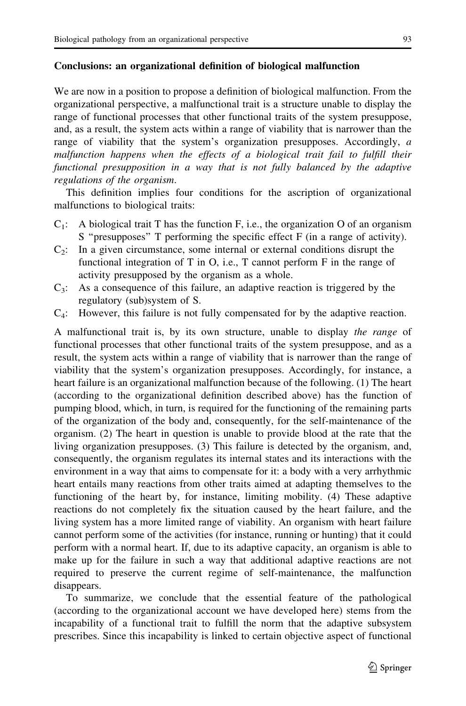We are now in a position to propose a definition of biological malfunction. From the organizational perspective, a malfunctional trait is a structure unable to display the range of functional processes that other functional traits of the system presuppose, and, as a result, the system acts within a range of viability that is narrower than the range of viability that the system's organization presupposes. Accordingly, a malfunction happens when the effects of a biological trait fail to fulfill their functional presupposition in a way that is not fully balanced by the adaptive regulations of the organism.

This definition implies four conditions for the ascription of organizational malfunctions to biological traits:

- $C_1$ : A biological trait T has the function F, i.e., the organization O of an organism S ''presupposes'' T performing the specific effect F (in a range of activity).
- $C_2$ : In a given circumstance, some internal or external conditions disrupt the functional integration of T in O, i.e., T cannot perform F in the range of activity presupposed by the organism as a whole.
- $C_3$ : As a consequence of this failure, an adaptive reaction is triggered by the regulatory (sub)system of S.
- $C_4$ : However, this failure is not fully compensated for by the adaptive reaction.

A malfunctional trait is, by its own structure, unable to display the range of functional processes that other functional traits of the system presuppose, and as a result, the system acts within a range of viability that is narrower than the range of viability that the system's organization presupposes. Accordingly, for instance, a heart failure is an organizational malfunction because of the following. (1) The heart (according to the organizational definition described above) has the function of pumping blood, which, in turn, is required for the functioning of the remaining parts of the organization of the body and, consequently, for the self-maintenance of the organism. (2) The heart in question is unable to provide blood at the rate that the living organization presupposes. (3) This failure is detected by the organism, and, consequently, the organism regulates its internal states and its interactions with the environment in a way that aims to compensate for it: a body with a very arrhythmic heart entails many reactions from other traits aimed at adapting themselves to the functioning of the heart by, for instance, limiting mobility. (4) These adaptive reactions do not completely fix the situation caused by the heart failure, and the living system has a more limited range of viability. An organism with heart failure cannot perform some of the activities (for instance, running or hunting) that it could perform with a normal heart. If, due to its adaptive capacity, an organism is able to make up for the failure in such a way that additional adaptive reactions are not required to preserve the current regime of self-maintenance, the malfunction disappears.

To summarize, we conclude that the essential feature of the pathological (according to the organizational account we have developed here) stems from the incapability of a functional trait to fulfill the norm that the adaptive subsystem prescribes. Since this incapability is linked to certain objective aspect of functional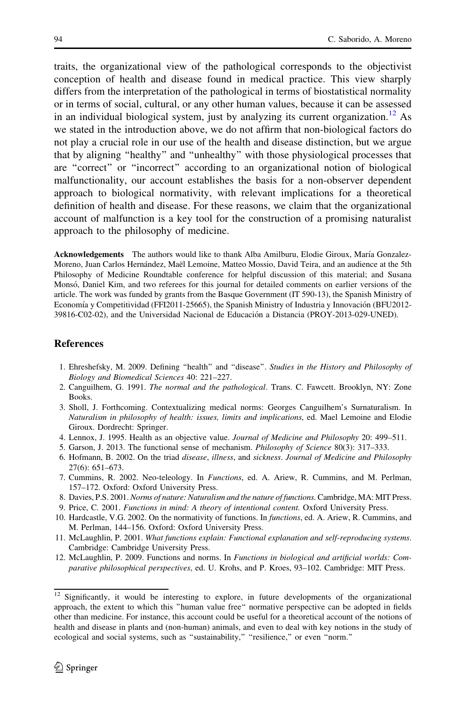<span id="page-11-0"></span>traits, the organizational view of the pathological corresponds to the objectivist conception of health and disease found in medical practice. This view sharply differs from the interpretation of the pathological in terms of biostatistical normality or in terms of social, cultural, or any other human values, because it can be assessed in an individual biological system, just by analyzing its current organization.<sup>12</sup> As we stated in the introduction above, we do not affirm that non-biological factors do not play a crucial role in our use of the health and disease distinction, but we argue that by aligning ''healthy'' and ''unhealthy'' with those physiological processes that are ''correct'' or ''incorrect'' according to an organizational notion of biological malfunctionality, our account establishes the basis for a non-observer dependent approach to biological normativity, with relevant implications for a theoretical definition of health and disease. For these reasons, we claim that the organizational account of malfunction is a key tool for the construction of a promising naturalist approach to the philosophy of medicine.

Acknowledgements The authors would like to thank Alba Amilburu, Elodie Giroux, María Gonzalez-Moreno, Juan Carlos Hernández, Maël Lemoine, Matteo Mossio, David Teira, and an audience at the 5th Philosophy of Medicine Roundtable conference for helpful discussion of this material; and Susana Monsó, Daniel Kim, and two referees for this journal for detailed comments on earlier versions of the article. The work was funded by grants from the Basque Government (IT 590-13), the Spanish Ministry of Economía y Competitividad (FFI2011-25665), the Spanish Ministry of Industria y Innovación (BFU2012-39816-C02-02), and the Universidad Nacional de Educación a Distancia (PROY-2013-029-UNED).

### **References**

- 1. Ehreshefsky, M. 2009. Defining "health" and "disease". Studies in the History and Philosophy of Biology and Biomedical Sciences 40: 221–227.
- 2. Canguilhem, G. 1991. The normal and the pathological. Trans. C. Fawcett. Brooklyn, NY: Zone Books.
- 3. Sholl, J. Forthcoming. Contextualizing medical norms: Georges Canguilhem's Surnaturalism. In Naturalism in philosophy of health: issues, limits and implications, ed. Mael Lemoine and Elodie Giroux. Dordrecht: Springer.
- 4. Lennox, J. 1995. Health as an objective value. Journal of Medicine and Philosophy 20: 499–511.
- 5. Garson, J. 2013. The functional sense of mechanism. Philosophy of Science 80(3): 317–333.
- 6. Hofmann, B. 2002. On the triad disease, illness, and sickness. Journal of Medicine and Philosophy 27(6): 651–673.
- 7. Cummins, R. 2002. Neo-teleology. In Functions, ed. A. Ariew, R. Cummins, and M. Perlman, 157–172. Oxford: Oxford University Press.
- 8. Davies, P.S. 2001. Norms of nature: Naturalism and the nature of functions. Cambridge, MA: MIT Press.
- 9. Price, C. 2001. Functions in mind: A theory of intentional content. Oxford University Press.
- 10. Hardcastle, V.G. 2002. On the normativity of functions. In functions, ed. A. Ariew, R. Cummins, and M. Perlman, 144–156. Oxford: Oxford University Press.
- 11. McLaughlin, P. 2001. What functions explain: Functional explanation and self-reproducing systems. Cambridge: Cambridge University Press.
- 12. McLaughlin, P. 2009. Functions and norms. In Functions in biological and artificial worlds: Comparative philosophical perspectives, ed. U. Krohs, and P. Kroes, 93–102. Cambridge: MIT Press.

<sup>&</sup>lt;sup>12</sup> Significantly, it would be interesting to explore, in future developments of the organizational approach, the extent to which this ''human value free'' normative perspective can be adopted in fields other than medicine. For instance, this account could be useful for a theoretical account of the notions of health and disease in plants and (non-human) animals, and even to deal with key notions in the study of ecological and social systems, such as ''sustainability,'' ''resilience,'' or even ''norm.''